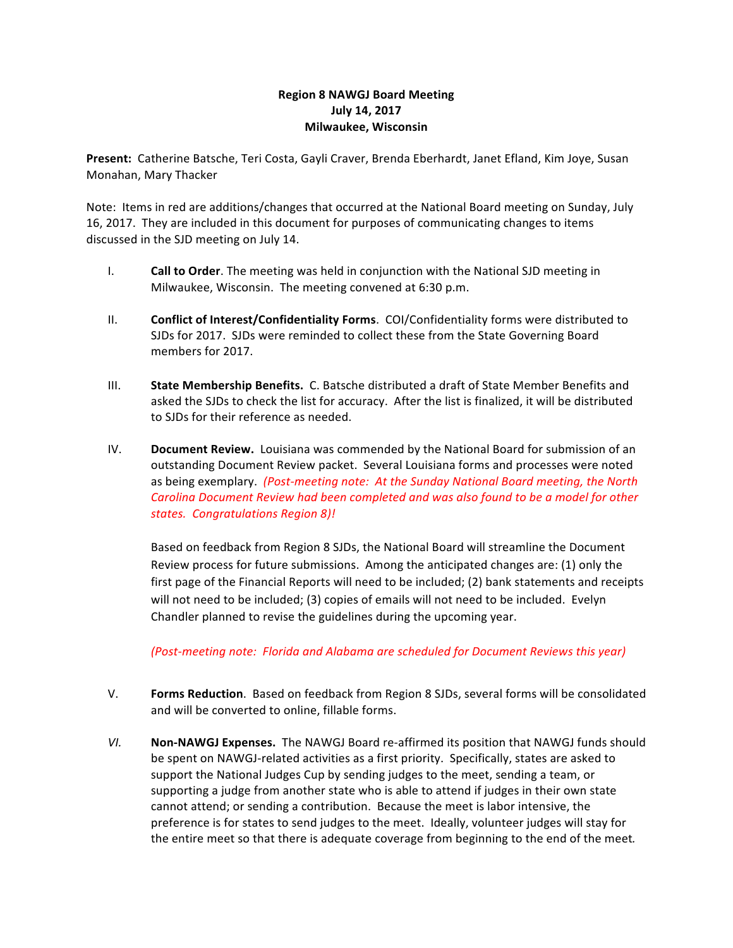## **Region 8 NAWGJ Board Meeting July 14, 2017 Milwaukee, Wisconsin**

Present: Catherine Batsche, Teri Costa, Gayli Craver, Brenda Eberhardt, Janet Efland, Kim Joye, Susan Monahan, Mary Thacker

Note: Items in red are additions/changes that occurred at the National Board meeting on Sunday, July 16, 2017. They are included in this document for purposes of communicating changes to items discussed in the SJD meeting on July 14.

- I. **Call to Order**. The meeting was held in conjunction with the National SJD meeting in Milwaukee, Wisconsin. The meeting convened at 6:30 p.m.
- II. **Conflict of Interest/Confidentiality Forms**. COI/Confidentiality forms were distributed to SJDs for 2017. SJDs were reminded to collect these from the State Governing Board members for 2017.
- III. **State Membership Benefits.** C. Batsche distributed a draft of State Member Benefits and asked the SJDs to check the list for accuracy. After the list is finalized, it will be distributed to SJDs for their reference as needed.
- IV. **Document Review.** Louisiana was commended by the National Board for submission of an outstanding Document Review packet. Several Louisiana forms and processes were noted as being exemplary. (Post-meeting note: At the Sunday National Board meeting, the North Carolina Document Review had been completed and was also found to be a model for other *states. Congratulations Region 8)!*

Based on feedback from Region 8 SJDs, the National Board will streamline the Document Review process for future submissions. Among the anticipated changes are:  $(1)$  only the first page of the Financial Reports will need to be included;  $(2)$  bank statements and receipts will not need to be included; (3) copies of emails will not need to be included. Evelyn Chandler planned to revise the guidelines during the upcoming year.

*(Post-meeting note: Florida and Alabama are scheduled for Document Reviews this year)* 

- V. **Forms Reduction**. Based on feedback from Region 8 SJDs, several forms will be consolidated and will be converted to online, fillable forms.
- VI. **Non-NAWGJ Expenses.** The NAWGJ Board re-affirmed its position that NAWGJ funds should be spent on NAWGJ-related activities as a first priority. Specifically, states are asked to support the National Judges Cup by sending judges to the meet, sending a team, or supporting a judge from another state who is able to attend if judges in their own state cannot attend; or sending a contribution. Because the meet is labor intensive, the preference is for states to send judges to the meet. Ideally, volunteer judges will stay for the entire meet so that there is adequate coverage from beginning to the end of the meet.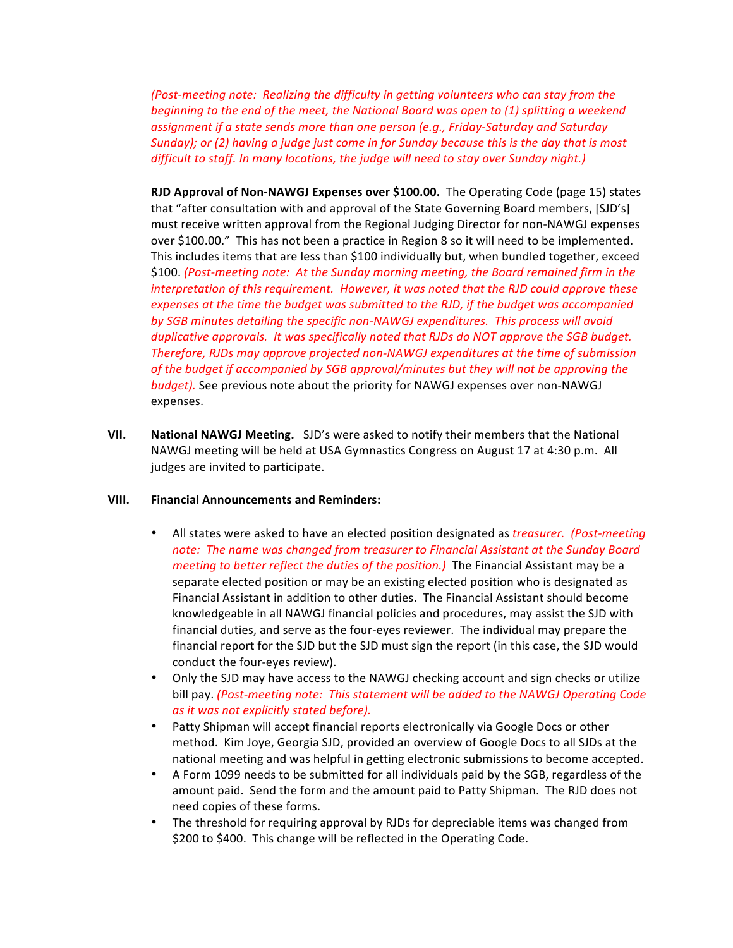*(Post-meeting note: Realizing the difficulty in getting volunteers who can stay from the beginning* to the end of the meet, the National Board was open to (1) splitting a weekend assignment if a state sends more than one person (e.g., Friday-Saturday and Saturday *Sunday);* or (2) having a judge just come in for Sunday because this is the day that is most *difficult to staff. In many locations, the judge will need to stay over Sunday night.)* 

**RJD Approval of Non-NAWGJ Expenses over \$100.00.** The Operating Code (page 15) states that "after consultation with and approval of the State Governing Board members, [SJD's] must receive written approval from the Regional Judging Director for non-NAWGJ expenses over \$100.00." This has not been a practice in Region 8 so it will need to be implemented. This includes items that are less than \$100 individually but, when bundled together, exceed \$100. (Post-meeting note: At the Sunday morning meeting, the Board remained firm in the *interpretation* of this requirement. However, it was noted that the RJD could approve these expenses at the time the budget was submitted to the RJD, if the budget was accompanied by SGB minutes detailing the specific non-NAWGJ expenditures. This process will avoid *duplicative approvals. It was specifically noted that RJDs do NOT approve the SGB budget. Therefore, RJDs may approve projected non-NAWGJ expenditures at the time of submission* of the budget if accompanied by SGB approval/minutes but they will not be approving the *budget)*. See previous note about the priority for NAWGJ expenses over non-NAWGJ expenses. 

**VII.** National NAWGJ Meeting. SJD's were asked to notify their members that the National NAWGJ meeting will be held at USA Gymnastics Congress on August 17 at 4:30 p.m. All judges are invited to participate.

## **VIII. Financial Announcements and Reminders:**

- All states were asked to have an elected position designated as **treasurer**. (Post-meeting note: The name was changed from treasurer to Financial Assistant at the Sunday Board *meeting to better reflect the duties of the position.)* The Financial Assistant may be a separate elected position or may be an existing elected position who is designated as Financial Assistant in addition to other duties. The Financial Assistant should become knowledgeable in all NAWGJ financial policies and procedures, may assist the SJD with financial duties, and serve as the four-eyes reviewer. The individual may prepare the financial report for the SJD but the SJD must sign the report (in this case, the SJD would conduct the four-eyes review).
- Only the SJD may have access to the NAWGJ checking account and sign checks or utilize bill pay. *(Post-meeting note: This statement will be added to the NAWGJ Operating Code as it was not explicitly stated before).*
- Patty Shipman will accept financial reports electronically via Google Docs or other method. Kim Joye, Georgia SJD, provided an overview of Google Docs to all SJDs at the national meeting and was helpful in getting electronic submissions to become accepted.
- A Form 1099 needs to be submitted for all individuals paid by the SGB, regardless of the amount paid. Send the form and the amount paid to Patty Shipman. The RJD does not need copies of these forms.
- The threshold for requiring approval by RJDs for depreciable items was changed from \$200 to \$400. This change will be reflected in the Operating Code.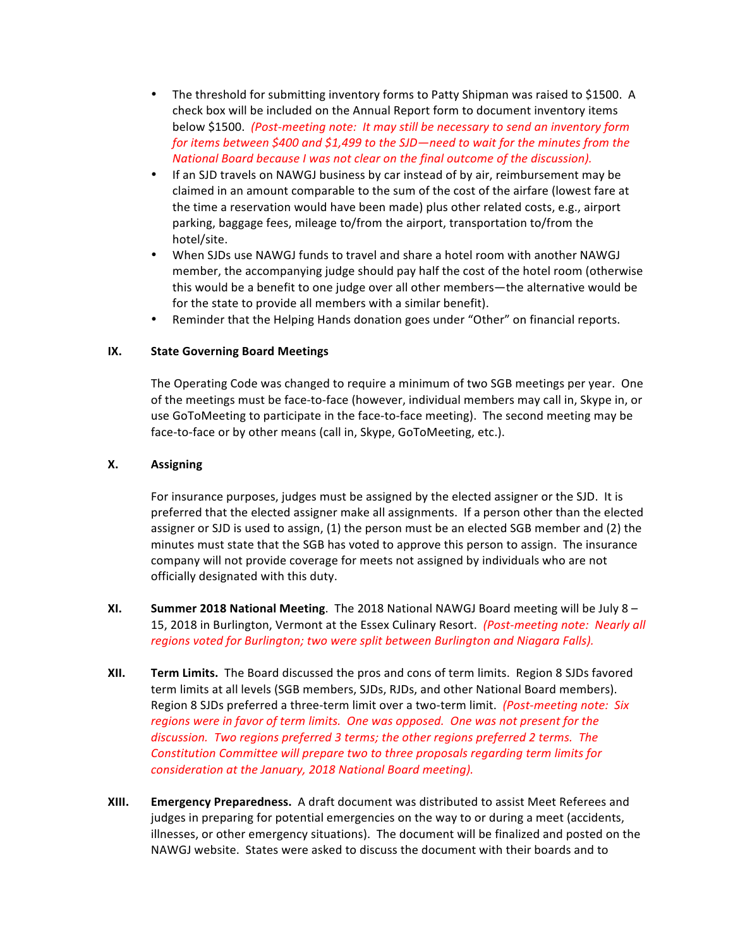- The threshold for submitting inventory forms to Patty Shipman was raised to \$1500. A check box will be included on the Annual Report form to document inventory items below \$1500. (Post-meeting note: It may still be necessary to send an inventory form *for items between* \$400 and \$1,499 to the SJD—need to wait for the minutes from the *National Board because I was not clear on the final outcome of the discussion).*
- If an SJD travels on NAWGJ business by car instead of by air, reimbursement may be claimed in an amount comparable to the sum of the cost of the airfare (lowest fare at the time a reservation would have been made) plus other related costs, e.g., airport parking, baggage fees, mileage to/from the airport, transportation to/from the hotel/site.
- When SJDs use NAWGJ funds to travel and share a hotel room with another NAWGJ member, the accompanying judge should pay half the cost of the hotel room (otherwise this would be a benefit to one judge over all other members—the alternative would be for the state to provide all members with a similar benefit).
- Reminder that the Helping Hands donation goes under "Other" on financial reports.

## **IX.** State Governing Board Meetings

The Operating Code was changed to require a minimum of two SGB meetings per year. One of the meetings must be face-to-face (however, individual members may call in, Skype in, or use GoToMeeting to participate in the face-to-face meeting). The second meeting may be face-to-face or by other means (call in, Skype, GoToMeeting, etc.).

## **X. Assigning**

For insurance purposes, judges must be assigned by the elected assigner or the SJD. It is preferred that the elected assigner make all assignments. If a person other than the elected assigner or SJD is used to assign, (1) the person must be an elected SGB member and (2) the minutes must state that the SGB has voted to approve this person to assign. The insurance company will not provide coverage for meets not assigned by individuals who are not officially designated with this duty.

- **XI. Summer 2018 National Meeting**. The 2018 National NAWGJ Board meeting will be July 8 15, 2018 in Burlington, Vermont at the Essex Culinary Resort. (Post-meeting note: Nearly all regions voted for Burlington; two were split between Burlington and Niagara Falls).
- **XII. Term Limits.** The Board discussed the pros and cons of term limits. Region 8 SJDs favored term limits at all levels (SGB members, SJDs, RJDs, and other National Board members). Region 8 SJDs preferred a three-term limit over a two-term limit. (Post-meeting note: Six *regions* were in favor of term limits. One was opposed. One was not present for the discussion. Two regions preferred 3 terms; the other regions preferred 2 terms. The *Constitution Committee will prepare two to three proposals regarding term limits for consideration at the January, 2018 National Board meeting).*
- **XIII. Emergency Preparedness.** A draft document was distributed to assist Meet Referees and judges in preparing for potential emergencies on the way to or during a meet (accidents, illnesses, or other emergency situations). The document will be finalized and posted on the NAWGJ website. States were asked to discuss the document with their boards and to